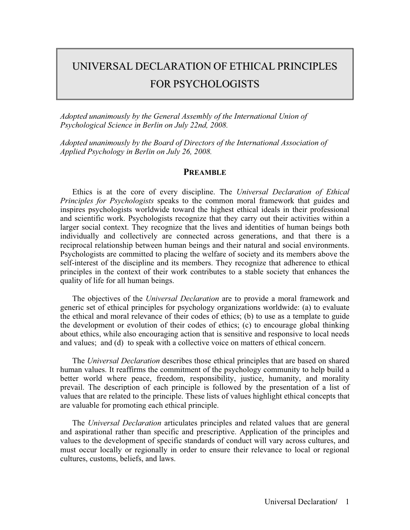# UNIVERSAL DECLARATION OF ETHICAL PRINCIPLES FOR PSYCHOLOGISTS

*Adopted unanimously by the General Assembly of the International Union of Psychological Science in Berlin on July 22nd, 2008.* 

*Adopted unanimously by the Board of Directors of the International Association of Applied Psychology in Berlin on July 26, 2008.* 

#### **PREAMBLE**

Ethics is at the core of every discipline. The *Universal Declaration of Ethical Principles for Psychologists* speaks to the common moral framework that guides and inspires psychologists worldwide toward the highest ethical ideals in their professional and scientific work. Psychologists recognize that they carry out their activities within a larger social context. They recognize that the lives and identities of human beings both individually and collectively are connected across generations, and that there is a reciprocal relationship between human beings and their natural and social environments. Psychologists are committed to placing the welfare of society and its members above the self-interest of the discipline and its members. They recognize that adherence to ethical principles in the context of their work contributes to a stable society that enhances the quality of life for all human beings.

The objectives of the *Universal Declaration* are to provide a moral framework and generic set of ethical principles for psychology organizations worldwide: (a) to evaluate the ethical and moral relevance of their codes of ethics; (b) to use as a template to guide the development or evolution of their codes of ethics; (c) to encourage global thinking about ethics, while also encouraging action that is sensitive and responsive to local needs and values; and (d) to speak with a collective voice on matters of ethical concern.

The *Universal Declaration* describes those ethical principles that are based on shared human values. It reaffirms the commitment of the psychology community to help build a better world where peace, freedom, responsibility, justice, humanity, and morality prevail. The description of each principle is followed by the presentation of a list of values that are related to the principle. These lists of values highlight ethical concepts that are valuable for promoting each ethical principle.

The *Universal Declaration* articulates principles and related values that are general and aspirational rather than specific and prescriptive. Application of the principles and values to the development of specific standards of conduct will vary across cultures, and must occur locally or regionally in order to ensure their relevance to local or regional cultures, customs, beliefs, and laws.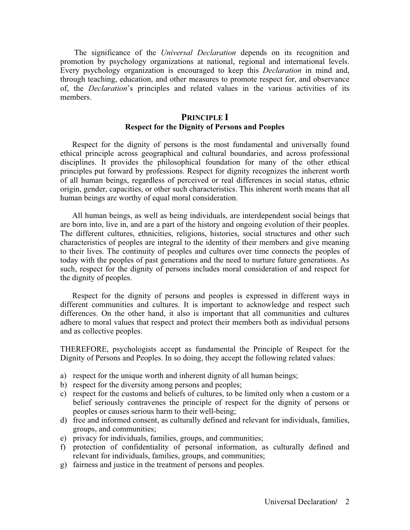The significance of the *Universal Declaration* depends on its recognition and promotion by psychology organizations at national, regional and international levels. Every psychology organization is encouraged to keep this *Declaration* in mind and, through teaching, education, and other measures to promote respect for, and observance of, the *Declaration*'s principles and related values in the various activities of its members.

# **PRINCIPLE I Respect for the Dignity of Persons and Peoples**

Respect for the dignity of persons is the most fundamental and universally found ethical principle across geographical and cultural boundaries, and across professional disciplines. It provides the philosophical foundation for many of the other ethical principles put forward by professions. Respect for dignity recognizes the inherent worth of all human beings, regardless of perceived or real differences in social status, ethnic origin, gender, capacities, or other such characteristics. This inherent worth means that all human beings are worthy of equal moral consideration.

All human beings, as well as being individuals, are interdependent social beings that are born into, live in, and are a part of the history and ongoing evolution of their peoples. The different cultures, ethnicities, religions, histories, social structures and other such characteristics of peoples are integral to the identity of their members and give meaning to their lives. The continuity of peoples and cultures over time connects the peoples of today with the peoples of past generations and the need to nurture future generations. As such, respect for the dignity of persons includes moral consideration of and respect for the dignity of peoples.

Respect for the dignity of persons and peoples is expressed in different ways in different communities and cultures. It is important to acknowledge and respect such differences. On the other hand, it also is important that all communities and cultures adhere to moral values that respect and protect their members both as individual persons and as collective peoples.

THEREFORE, psychologists accept as fundamental the Principle of Respect for the Dignity of Persons and Peoples. In so doing, they accept the following related values:

- a) respect for the unique worth and inherent dignity of all human beings;
- b) respect for the diversity among persons and peoples;
- c) respect for the customs and beliefs of cultures, to be limited only when a custom or a belief seriously contravenes the principle of respect for the dignity of persons or peoples or causes serious harm to their well-being;
- d) free and informed consent, as culturally defined and relevant for individuals, families, groups, and communities;
- e) privacy for individuals, families, groups, and communities;
- f) protection of confidentiality of personal information, as culturally defined and relevant for individuals, families, groups, and communities;
- g) fairness and justice in the treatment of persons and peoples.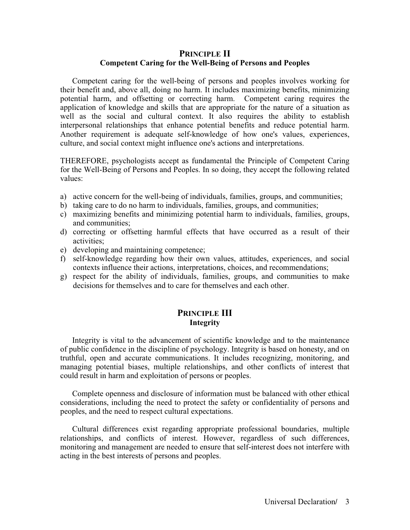### **PRINCIPLE II Competent Caring for the Well-Being of Persons and Peoples**

Competent caring for the well-being of persons and peoples involves working for their benefit and, above all, doing no harm. It includes maximizing benefits, minimizing potential harm, and offsetting or correcting harm. Competent caring requires the application of knowledge and skills that are appropriate for the nature of a situation as well as the social and cultural context. It also requires the ability to establish interpersonal relationships that enhance potential benefits and reduce potential harm. Another requirement is adequate self-knowledge of how one's values, experiences, culture, and social context might influence one's actions and interpretations.

THEREFORE, psychologists accept as fundamental the Principle of Competent Caring for the Well-Being of Persons and Peoples. In so doing, they accept the following related values:

- a) active concern for the well-being of individuals, families, groups, and communities;
- b) taking care to do no harm to individuals, families, groups, and communities;
- c) maximizing benefits and minimizing potential harm to individuals, families, groups, and communities;
- d) correcting or offsetting harmful effects that have occurred as a result of their activities;
- e) developing and maintaining competence;
- f) self-knowledge regarding how their own values, attitudes, experiences, and social contexts influence their actions, interpretations, choices, and recommendations;
- g) respect for the ability of individuals, families, groups, and communities to make decisions for themselves and to care for themselves and each other.

# **PRINCIPLE III Integrity**

Integrity is vital to the advancement of scientific knowledge and to the maintenance of public confidence in the discipline of psychology. Integrity is based on honesty, and on truthful, open and accurate communications. It includes recognizing, monitoring, and managing potential biases, multiple relationships, and other conflicts of interest that could result in harm and exploitation of persons or peoples.

Complete openness and disclosure of information must be balanced with other ethical considerations, including the need to protect the safety or confidentiality of persons and peoples, and the need to respect cultural expectations.

Cultural differences exist regarding appropriate professional boundaries, multiple relationships, and conflicts of interest. However, regardless of such differences, monitoring and management are needed to ensure that self-interest does not interfere with acting in the best interests of persons and peoples.